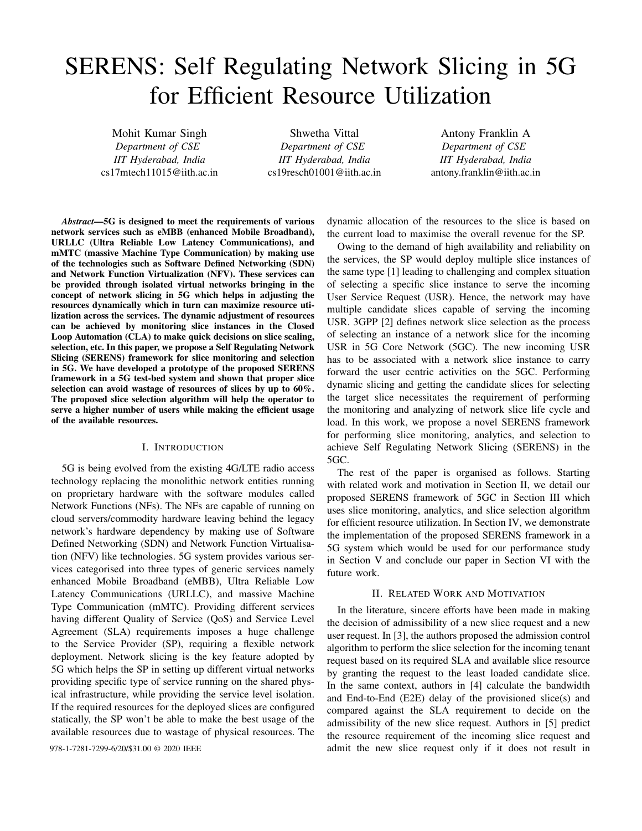# SERENS: Self Regulating Network Slicing in 5G for Efficient Resource Utilization

Mohit Kumar Singh *Department of CSE IIT Hyderabad, India* cs17mtech11015@iith.ac.in

Shwetha Vittal *Department of CSE IIT Hyderabad, India* cs19resch01001@iith.ac.in

Antony Franklin A *Department of CSE IIT Hyderabad, India* antony.franklin@iith.ac.in

*Abstract*—5G is designed to meet the requirements of various network services such as eMBB (enhanced Mobile Broadband), URLLC (Ultra Reliable Low Latency Communications), and mMTC (massive Machine Type Communication) by making use of the technologies such as Software Defined Networking (SDN) and Network Function Virtualization (NFV). These services can be provided through isolated virtual networks bringing in the concept of network slicing in 5G which helps in adjusting the resources dynamically which in turn can maximize resource utilization across the services. The dynamic adjustment of resources can be achieved by monitoring slice instances in the Closed Loop Automation (CLA) to make quick decisions on slice scaling, selection, etc. In this paper, we propose a Self Regulating Network Slicing (SERENS) framework for slice monitoring and selection in 5G. We have developed a prototype of the proposed SERENS framework in a 5G test-bed system and shown that proper slice selection can avoid wastage of resources of slices by up to 60%. The proposed slice selection algorithm will help the operator to serve a higher number of users while making the efficient usage of the available resources.

#### I. INTRODUCTION

5G is being evolved from the existing 4G/LTE radio access technology replacing the monolithic network entities running on proprietary hardware with the software modules called Network Functions (NFs). The NFs are capable of running on cloud servers/commodity hardware leaving behind the legacy network's hardware dependency by making use of Software Defined Networking (SDN) and Network Function Virtualisation (NFV) like technologies. 5G system provides various services categorised into three types of generic services namely enhanced Mobile Broadband (eMBB), Ultra Reliable Low Latency Communications (URLLC), and massive Machine Type Communication (mMTC). Providing different services having different Quality of Service (QoS) and Service Level Agreement (SLA) requirements imposes a huge challenge to the Service Provider (SP), requiring a flexible network deployment. Network slicing is the key feature adopted by 5G which helps the SP in setting up different virtual networks providing specific type of service running on the shared physical infrastructure, while providing the service level isolation. If the required resources for the deployed slices are configured statically, the SP won't be able to make the best usage of the available resources due to wastage of physical resources. The

dynamic allocation of the resources to the slice is based on the current load to maximise the overall revenue for the SP.

Owing to the demand of high availability and reliability on the services, the SP would deploy multiple slice instances of the same type [1] leading to challenging and complex situation of selecting a specific slice instance to serve the incoming User Service Request (USR). Hence, the network may have multiple candidate slices capable of serving the incoming USR. 3GPP [2] defines network slice selection as the process of selecting an instance of a network slice for the incoming USR in 5G Core Network (5GC). The new incoming USR has to be associated with a network slice instance to carry forward the user centric activities on the 5GC. Performing dynamic slicing and getting the candidate slices for selecting the target slice necessitates the requirement of performing the monitoring and analyzing of network slice life cycle and load. In this work, we propose a novel SERENS framework for performing slice monitoring, analytics, and selection to achieve Self Regulating Network Slicing (SERENS) in the 5GC.

The rest of the paper is organised as follows. Starting with related work and motivation in Section II, we detail our proposed SERENS framework of 5GC in Section III which uses slice monitoring, analytics, and slice selection algorithm for efficient resource utilization. In Section IV, we demonstrate the implementation of the proposed SERENS framework in a 5G system which would be used for our performance study in Section V and conclude our paper in Section VI with the future work.

## II. RELATED WORK AND MOTIVATION

In the literature, sincere efforts have been made in making the decision of admissibility of a new slice request and a new user request. In [3], the authors proposed the admission control algorithm to perform the slice selection for the incoming tenant request based on its required SLA and available slice resource by granting the request to the least loaded candidate slice. In the same context, authors in [4] calculate the bandwidth and End-to-End (E2E) delay of the provisioned slice(s) and compared against the SLA requirement to decide on the admissibility of the new slice request. Authors in [5] predict the resource requirement of the incoming slice request and 978-1-7281-7299-6/20/\$31.00 © 2020 IEEE admit the new slice request only if it does not result in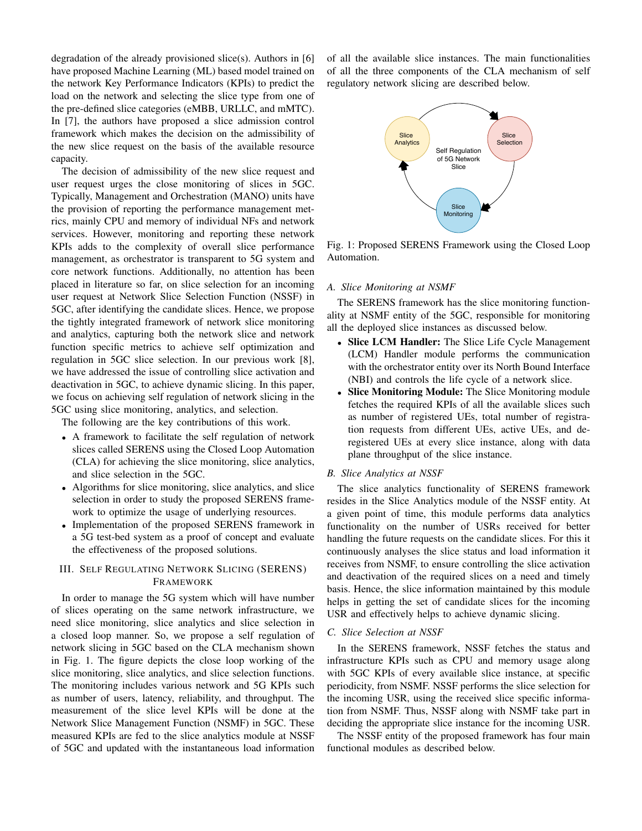degradation of the already provisioned slice(s). Authors in [6] have proposed Machine Learning (ML) based model trained on the network Key Performance Indicators (KPIs) to predict the load on the network and selecting the slice type from one of the pre-defined slice categories (eMBB, URLLC, and mMTC). In [7], the authors have proposed a slice admission control framework which makes the decision on the admissibility of the new slice request on the basis of the available resource capacity.

The decision of admissibility of the new slice request and user request urges the close monitoring of slices in 5GC. Typically, Management and Orchestration (MANO) units have the provision of reporting the performance management metrics, mainly CPU and memory of individual NFs and network services. However, monitoring and reporting these network KPIs adds to the complexity of overall slice performance management, as orchestrator is transparent to 5G system and core network functions. Additionally, no attention has been placed in literature so far, on slice selection for an incoming user request at Network Slice Selection Function (NSSF) in 5GC, after identifying the candidate slices. Hence, we propose the tightly integrated framework of network slice monitoring and analytics, capturing both the network slice and network function specific metrics to achieve self optimization and regulation in 5GC slice selection. In our previous work [8], we have addressed the issue of controlling slice activation and deactivation in 5GC, to achieve dynamic slicing. In this paper, we focus on achieving self regulation of network slicing in the 5GC using slice monitoring, analytics, and selection.

The following are the key contributions of this work.

- A framework to facilitate the self regulation of network slices called SERENS using the Closed Loop Automation (CLA) for achieving the slice monitoring, slice analytics, and slice selection in the 5GC.
- Algorithms for slice monitoring, slice analytics, and slice selection in order to study the proposed SERENS framework to optimize the usage of underlying resources.
- Implementation of the proposed SERENS framework in a 5G test-bed system as a proof of concept and evaluate the effectiveness of the proposed solutions.

# III. SELF REGULATING NETWORK SLICING (SERENS) FRAMEWORK

In order to manage the 5G system which will have number of slices operating on the same network infrastructure, we need slice monitoring, slice analytics and slice selection in a closed loop manner. So, we propose a self regulation of network slicing in 5GC based on the CLA mechanism shown in Fig. 1. The figure depicts the close loop working of the slice monitoring, slice analytics, and slice selection functions. The monitoring includes various network and 5G KPIs such as number of users, latency, reliability, and throughput. The measurement of the slice level KPIs will be done at the Network Slice Management Function (NSMF) in 5GC. These measured KPIs are fed to the slice analytics module at NSSF of 5GC and updated with the instantaneous load information of all the available slice instances. The main functionalities of all the three components of the CLA mechanism of self regulatory network slicing are described below.



Fig. 1: Proposed SERENS Framework using the Closed Loop Automation.

# *A. Slice Monitoring at NSMF*

The SERENS framework has the slice monitoring functionality at NSMF entity of the 5GC, responsible for monitoring all the deployed slice instances as discussed below.

- Slice LCM Handler: The Slice Life Cycle Management (LCM) Handler module performs the communication with the orchestrator entity over its North Bound Interface (NBI) and controls the life cycle of a network slice.
- Slice Monitoring Module: The Slice Monitoring module fetches the required KPIs of all the available slices such as number of registered UEs, total number of registration requests from different UEs, active UEs, and deregistered UEs at every slice instance, along with data plane throughput of the slice instance.

# *B. Slice Analytics at NSSF*

The slice analytics functionality of SERENS framework resides in the Slice Analytics module of the NSSF entity. At a given point of time, this module performs data analytics functionality on the number of USRs received for better handling the future requests on the candidate slices. For this it continuously analyses the slice status and load information it receives from NSMF, to ensure controlling the slice activation and deactivation of the required slices on a need and timely basis. Hence, the slice information maintained by this module helps in getting the set of candidate slices for the incoming USR and effectively helps to achieve dynamic slicing.

# *C. Slice Selection at NSSF*

In the SERENS framework, NSSF fetches the status and infrastructure KPIs such as CPU and memory usage along with 5GC KPIs of every available slice instance, at specific periodicity, from NSMF. NSSF performs the slice selection for the incoming USR, using the received slice specific information from NSMF. Thus, NSSF along with NSMF take part in deciding the appropriate slice instance for the incoming USR.

The NSSF entity of the proposed framework has four main functional modules as described below.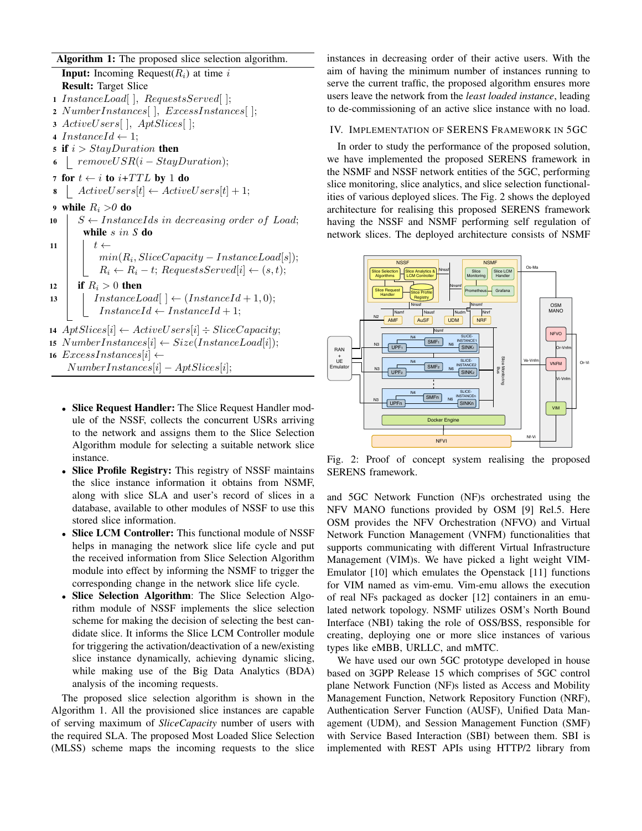Algorithm 1: The proposed slice selection algorithm. **Input:** Incoming Request $(R_i)$  at time i Result: Target Slice 1 InstanceLoad[ ], RequestsServed[ ]; 2 NumberInstances[ ], ExcessInstances[ ]; 3 ActiveUsers[ ], AptSlices[ ]; 4 InstanceId  $\leftarrow$  1; 5 if  $i > StayDuration$  then 6  $\vert$  remove  $USR(i - StayDuration);$ 7 for  $t \leftarrow i$  to  $i+TTL$  by 1 do 8 |  $ActiveUsers[t] \leftarrow ActiveUsers[t] + 1;$ 9 while  $R_i > 0$  do 10  $S \leftarrow Insteadis$  in decreasing order of Load; while s in *S* do 11  $\vert t \vert$  $min(R_i,SliceCapacity-InstanceLoad[s]);$  $R_i \leftarrow R_i - t$ ; RequestsServed[i]  $\leftarrow (s, t)$ ; 12 if  $R_i > 0$  then 13 | InstanceLoad $[ \ ] \leftarrow (InstanceId + 1, 0);$  $InstanceId \leftarrow Instead + 1;$ 14  $AptSlices[i] \leftarrow ActiveUsers[i] \div Slice Capacity;$ 15  $NumberInstance [i] \leftarrow Size(InstanceLoad[i])$ ; 16  $ExcessInstances[i] \leftarrow$  $NumberInstances[i] - AptSlices[i];$ 

- Slice Request Handler: The Slice Request Handler module of the NSSF, collects the concurrent USRs arriving to the network and assigns them to the Slice Selection Algorithm module for selecting a suitable network slice instance.
- Slice Profile Registry: This registry of NSSF maintains the slice instance information it obtains from NSMF, along with slice SLA and user's record of slices in a database, available to other modules of NSSF to use this stored slice information.
- Slice LCM Controller: This functional module of NSSF helps in managing the network slice life cycle and put the received information from Slice Selection Algorithm module into effect by informing the NSMF to trigger the corresponding change in the network slice life cycle.
- Slice Selection Algorithm: The Slice Selection Algorithm module of NSSF implements the slice selection scheme for making the decision of selecting the best candidate slice. It informs the Slice LCM Controller module for triggering the activation/deactivation of a new/existing slice instance dynamically, achieving dynamic slicing, while making use of the Big Data Analytics (BDA) analysis of the incoming requests.

The proposed slice selection algorithm is shown in the Algorithm 1. All the provisioned slice instances are capable of serving maximum of *SliceCapacity* number of users with the required SLA. The proposed Most Loaded Slice Selection (MLSS) scheme maps the incoming requests to the slice instances in decreasing order of their active users. With the aim of having the minimum number of instances running to serve the current traffic, the proposed algorithm ensures more users leave the network from the *least loaded instance*, leading to de-commissioning of an active slice instance with no load.

### IV. IMPLEMENTATION OF SERENS FRAMEWORK IN 5GC

In order to study the performance of the proposed solution, we have implemented the proposed SERENS framework in the NSMF and NSSF network entities of the 5GC, performing slice monitoring, slice analytics, and slice selection functionalities of various deployed slices. The Fig. 2 shows the deployed architecture for realising this proposed SERENS framework having the NSSF and NSMF performing self regulation of network slices. The deployed architecture consists of NSMF



Fig. 2: Proof of concept system realising the proposed SERENS framework.

and 5GC Network Function (NF)s orchestrated using the NFV MANO functions provided by OSM [9] Rel.5. Here OSM provides the NFV Orchestration (NFVO) and Virtual Network Function Management (VNFM) functionalities that supports communicating with different Virtual Infrastructure Management (VIM)s. We have picked a light weight VIM-Emulator [10] which emulates the Openstack [11] functions for VIM named as vim-emu. Vim-emu allows the execution of real NFs packaged as docker [12] containers in an emulated network topology. NSMF utilizes OSM's North Bound Interface (NBI) taking the role of OSS/BSS, responsible for creating, deploying one or more slice instances of various types like eMBB, URLLC, and mMTC.

We have used our own 5GC prototype developed in house based on 3GPP Release 15 which comprises of 5GC control plane Network Function (NF)s listed as Access and Mobility Management Function, Network Repository Function (NRF), Authentication Server Function (AUSF), Unified Data Management (UDM), and Session Management Function (SMF) with Service Based Interaction (SBI) between them. SBI is implemented with REST APIs using HTTP/2 library from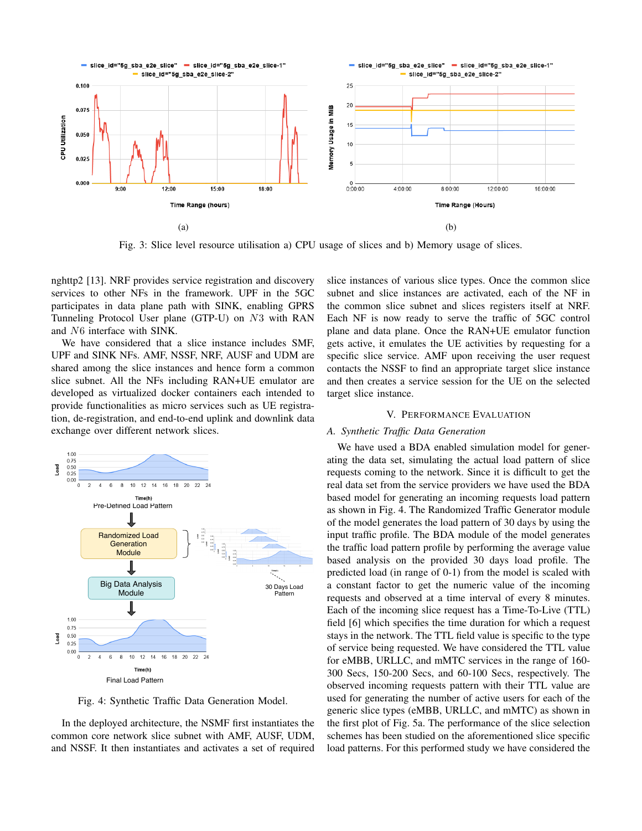

Fig. 3: Slice level resource utilisation a) CPU usage of slices and b) Memory usage of slices.

nghttp2 [13]. NRF provides service registration and discovery services to other NFs in the framework. UPF in the 5GC participates in data plane path with SINK, enabling GPRS Tunneling Protocol User plane (GTP-U) on N3 with RAN and N6 interface with SINK.

We have considered that a slice instance includes SMF, UPF and SINK NFs. AMF, NSSF, NRF, AUSF and UDM are shared among the slice instances and hence form a common slice subnet. All the NFs including RAN+UE emulator are developed as virtualized docker containers each intended to provide functionalities as micro services such as UE registration, de-registration, and end-to-end uplink and downlink data exchange over different network slices.



Fig. 4: Synthetic Traffic Data Generation Model.

In the deployed architecture, the NSMF first instantiates the common core network slice subnet with AMF, AUSF, UDM, and NSSF. It then instantiates and activates a set of required slice instances of various slice types. Once the common slice subnet and slice instances are activated, each of the NF in the common slice subnet and slices registers itself at NRF. Each NF is now ready to serve the traffic of 5GC control plane and data plane. Once the RAN+UE emulator function gets active, it emulates the UE activities by requesting for a specific slice service. AMF upon receiving the user request contacts the NSSF to find an appropriate target slice instance and then creates a service session for the UE on the selected target slice instance.

#### V. PERFORMANCE EVALUATION

# *A. Synthetic Traffic Data Generation*

We have used a BDA enabled simulation model for generating the data set, simulating the actual load pattern of slice requests coming to the network. Since it is difficult to get the real data set from the service providers we have used the BDA based model for generating an incoming requests load pattern as shown in Fig. 4. The Randomized Traffic Generator module of the model generates the load pattern of 30 days by using the input traffic profile. The BDA module of the model generates the traffic load pattern profile by performing the average value based analysis on the provided 30 days load profile. The predicted load (in range of 0-1) from the model is scaled with a constant factor to get the numeric value of the incoming requests and observed at a time interval of every 8 minutes. Each of the incoming slice request has a Time-To-Live (TTL) field [6] which specifies the time duration for which a request stays in the network. The TTL field value is specific to the type of service being requested. We have considered the TTL value for eMBB, URLLC, and mMTC services in the range of 160- 300 Secs, 150-200 Secs, and 60-100 Secs, respectively. The observed incoming requests pattern with their TTL value are used for generating the number of active users for each of the generic slice types (eMBB, URLLC, and mMTC) as shown in the first plot of Fig. 5a. The performance of the slice selection schemes has been studied on the aforementioned slice specific load patterns. For this performed study we have considered the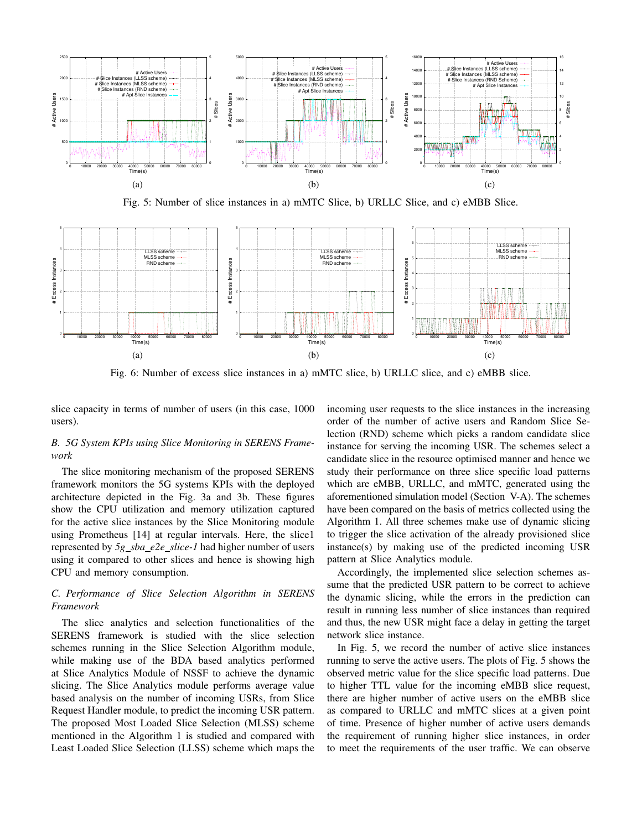

Fig. 5: Number of slice instances in a) mMTC Slice, b) URLLC Slice, and c) eMBB Slice.



Fig. 6: Number of excess slice instances in a) mMTC slice, b) URLLC slice, and c) eMBB slice.

slice capacity in terms of number of users (in this case, 1000 users).

# *B. 5G System KPIs using Slice Monitoring in SERENS Framework*

The slice monitoring mechanism of the proposed SERENS framework monitors the 5G systems KPIs with the deployed architecture depicted in the Fig. 3a and 3b. These figures show the CPU utilization and memory utilization captured for the active slice instances by the Slice Monitoring module using Prometheus [14] at regular intervals. Here, the slice1 represented by *5g sba e2e slice-1* had higher number of users using it compared to other slices and hence is showing high CPU and memory consumption.

# *C. Performance of Slice Selection Algorithm in SERENS Framework*

The slice analytics and selection functionalities of the SERENS framework is studied with the slice selection schemes running in the Slice Selection Algorithm module, while making use of the BDA based analytics performed at Slice Analytics Module of NSSF to achieve the dynamic slicing. The Slice Analytics module performs average value based analysis on the number of incoming USRs, from Slice Request Handler module, to predict the incoming USR pattern. The proposed Most Loaded Slice Selection (MLSS) scheme mentioned in the Algorithm 1 is studied and compared with Least Loaded Slice Selection (LLSS) scheme which maps the incoming user requests to the slice instances in the increasing order of the number of active users and Random Slice Selection (RND) scheme which picks a random candidate slice instance for serving the incoming USR. The schemes select a candidate slice in the resource optimised manner and hence we study their performance on three slice specific load patterns which are eMBB, URLLC, and mMTC, generated using the aforementioned simulation model (Section V-A). The schemes have been compared on the basis of metrics collected using the Algorithm 1. All three schemes make use of dynamic slicing to trigger the slice activation of the already provisioned slice instance(s) by making use of the predicted incoming USR pattern at Slice Analytics module.

Accordingly, the implemented slice selection schemes assume that the predicted USR pattern to be correct to achieve the dynamic slicing, while the errors in the prediction can result in running less number of slice instances than required and thus, the new USR might face a delay in getting the target network slice instance.

In Fig. 5, we record the number of active slice instances running to serve the active users. The plots of Fig. 5 shows the observed metric value for the slice specific load patterns. Due to higher TTL value for the incoming eMBB slice request, there are higher number of active users on the eMBB slice as compared to URLLC and mMTC slices at a given point of time. Presence of higher number of active users demands the requirement of running higher slice instances, in order to meet the requirements of the user traffic. We can observe